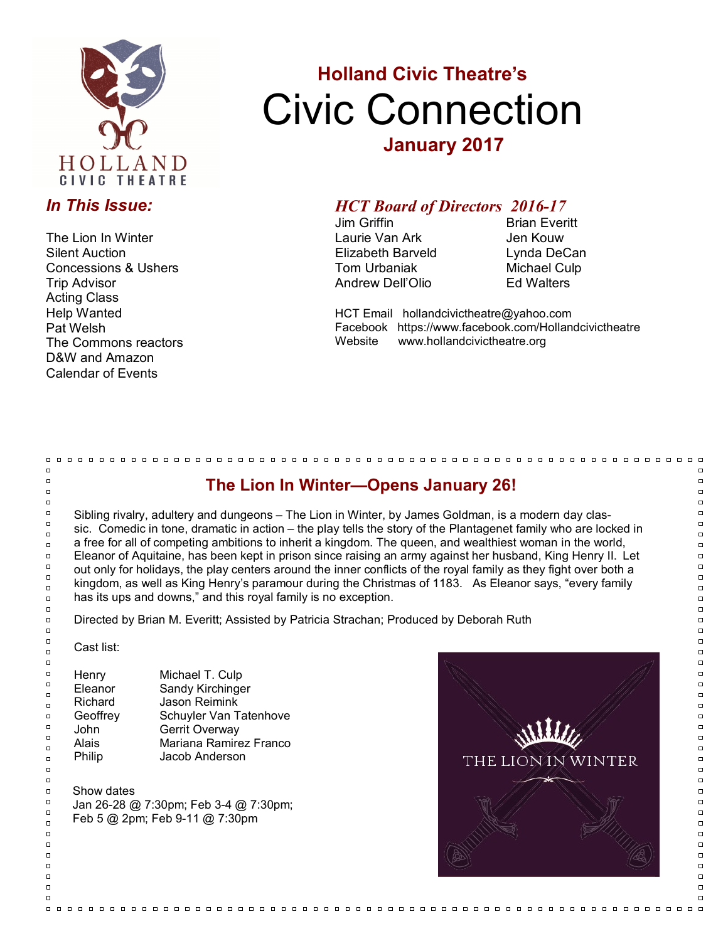

### *In This Issue:*

The Lion In Winter Silent Auction Concessions & Ushers Trip Advisor Acting Class Help Wanted Pat Welsh The Commons reactors D&W and Amazon Calendar of Events

# **Holland Civic Theatre's** Civic Connection **January 2017**

# *HCT Board of Directors 2016-17*

Laurie Van Ark **Jen Kouw** Elizabeth Barveld Lynda DeCan Tom Urbaniak Michael Culp Andrew Dell'Olio Ed Walters

**Brian Everitt** 

HCT Email hollandcivictheatre@yahoo.com Facebook https://www.facebook.com/Hollandcivictheatre Website www.hollandcivictheatre.org

## **The Lion In Winter—Opens January 26!**

Sibling rivalry, adultery and dungeons – The Lion in Winter, by James Goldman, is a modern day classic. Comedic in tone, dramatic in action – the play tells the story of the Plantagenet family who are locked in a free for all of competing ambitions to inherit a kingdom. The queen, and wealthiest woman in the world, Eleanor of Aquitaine, has been kept in prison since raising an army against her husband, King Henry II. Let out only for holidays, the play centers around the inner conflicts of the royal family as they fight over both a kingdom, as well as King Henry's paramour during the Christmas of 1183. As Eleanor says, "every family has its ups and downs," and this royal family is no exception.

Directed by Brian M. Everitt; Assisted by Patricia Strachan; Produced by Deborah Ruth

Cast list:

 $\Box$ 

 $\Box$ 

 $\Box$ 

 $\Box$ 

 $\Box$ 

 $\Box$ 

 $\overline{a}$ 

 $\Box$ 

 $\Box$ 

 $\Box$ 

 $\Box$ 

 $\Box$ 

 $\Box$ 

 $\Box$ 

 $\Box$ 

 $\Box$ 

 $\Box$ 

 $\Box$ 

 $\Box$ 

 $\Box$  $\Box$ 

 $\Box$  $\Box$ 

 $\Box$ 

 $\Box$ 

 $\Box$ 

 $\Box$ 

 $\Box$  $\Box$ 

 $\Box$ 

 $\Box$ 

 $\Box$ 

 $\Box$ 

 $\Box$ 

 $\Box$ 

 $\Box$ 

 $\Box$ 

 $\Box$ 

 $\Box$ 

 $\Box$ 

 $\Box$ 

| Henry    | Michael T. Culp        |
|----------|------------------------|
| Eleanor  | Sandy Kirchinger       |
| Richard  | Jason Reimink          |
| Geoffrey | Schuyler Van Tatenhove |
| John     | Gerrit Overway         |
| Alais    | Mariana Ramirez Franco |
| Philip   | Jacob Anderson         |
|          |                        |

Show dates Jan 26-28 @ 7:30pm; Feb 3-4 @ 7:30pm; Feb 5 @ 2pm; Feb 9-11 @ 7:30pm



 $\Box$  $\Box$  $\Box$  $\Box$  $\Box$  $\overline{a}$  $\Box$ ō  $\Box$  $\Box$  $\Box$  $\Box$  $\Box$  $\Box$  $\Box$  $\Box$  $\Box$  $\Box$  $\overline{a}$  $\Box$  $\Box$  $\Box$  $\Box$  $\Box$ ō  $\Box$  $\Box$  $\Box$  $\Box$  $\Box$  $\Box$  $\Box$  $\Box$  $\Box$  $\Box$  $\overline{a}$  $\Box$  $\overline{a}$  $\overline{a}$ 

 $\Box$ 

 $\Box$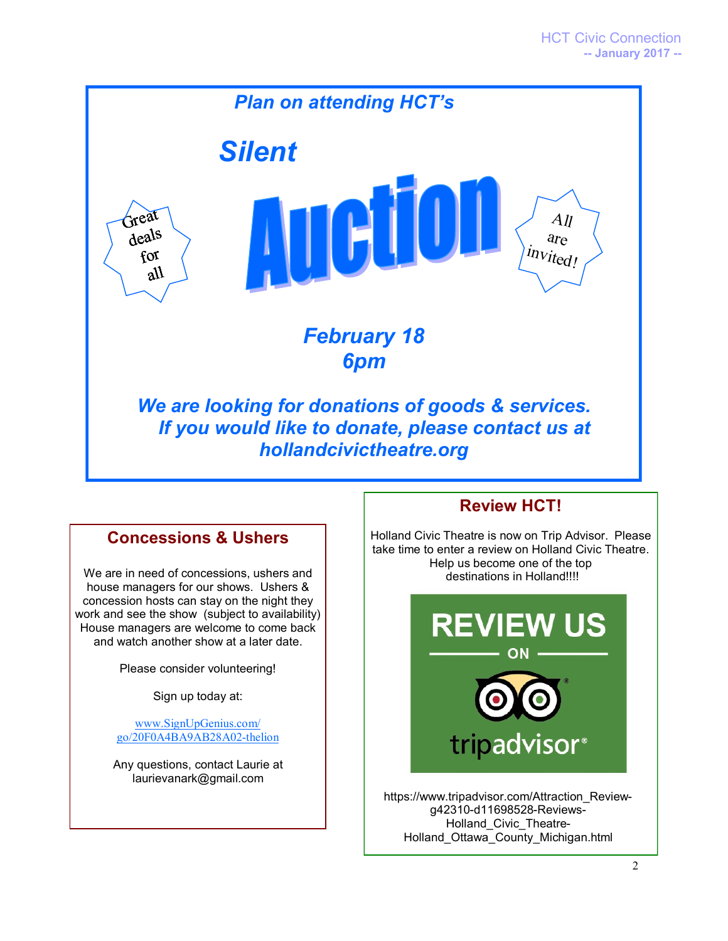

#### **Concessions & Ushers**

We are in need of concessions, ushers and house managers for our shows. Ushers & concession hosts can stay on the night they work and see the show (subject to availability) House managers are welcome to come back and watch another show at a later date.

Please consider volunteering!

Sign up today at:

[www.SignUpGenius.com/](http://www.signupgenius.com/go/20F0A4BA9AB28A02-thelion) [go/20F0A4BA9AB28A02-thelion](http://www.signupgenius.com/go/20F0A4BA9AB28A02-thelion)

Any questions, contact Laurie at laurievanark@gmail.com

## **Review HCT!**

Holland Civic Theatre is now on Trip Advisor. Please take time to enter a review on Holland Civic Theatre. Help us become one of the top destinations in Holland!!!!



https://www.tripadvisor.com/Attraction\_Reviewg42310-d11698528-Reviews-Holland\_Civic\_Theatre-Holland\_Ottawa\_County\_Michigan.html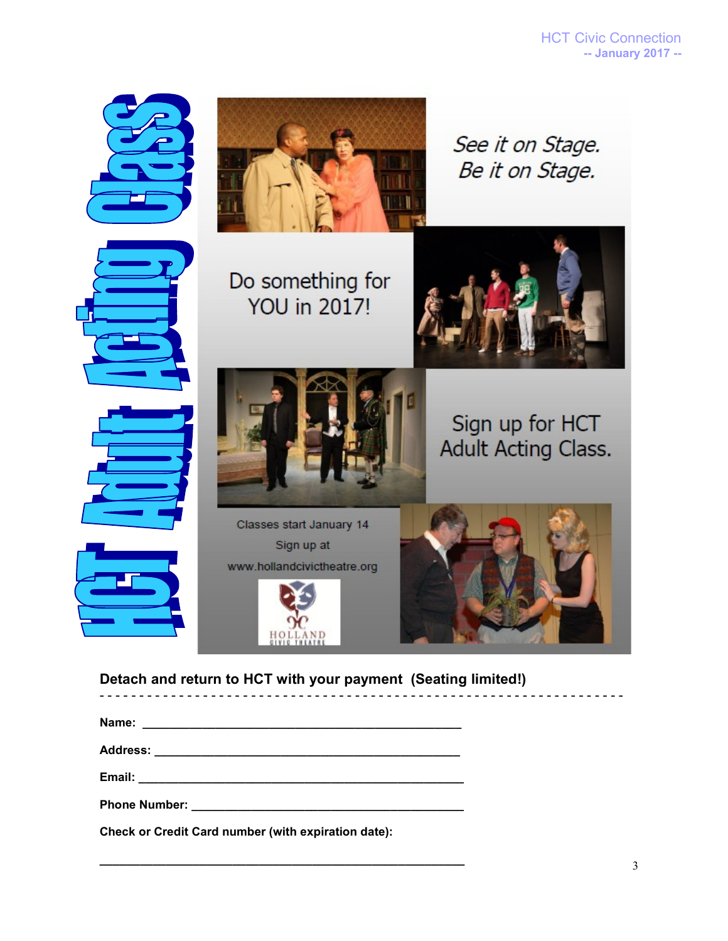

#### **Detach and return to HCT with your payment (Seating limited!)**

- - - - - - - - - - - - - - - - - - - - - - - - - - - - - - - - - - - - - - - - - - - - - - - - - - - - - - - - - - - - - - - - - -

| Name:                                                                                                                                                                                                                               |  |
|-------------------------------------------------------------------------------------------------------------------------------------------------------------------------------------------------------------------------------------|--|
|                                                                                                                                                                                                                                     |  |
|                                                                                                                                                                                                                                     |  |
| <b>Phone Number:</b> The Company of the Company of the Company of the Company of the Company of the Company of the Company of the Company of the Company of the Company of the Company of the Company of the Company of the Company |  |

**\_\_\_\_\_\_\_\_\_\_\_\_\_\_\_\_\_\_\_\_\_\_\_\_\_\_\_\_\_\_\_\_\_\_\_\_\_\_\_\_\_\_\_\_\_\_\_\_\_\_\_\_\_\_\_**

**Check or Credit Card number (with expiration date):**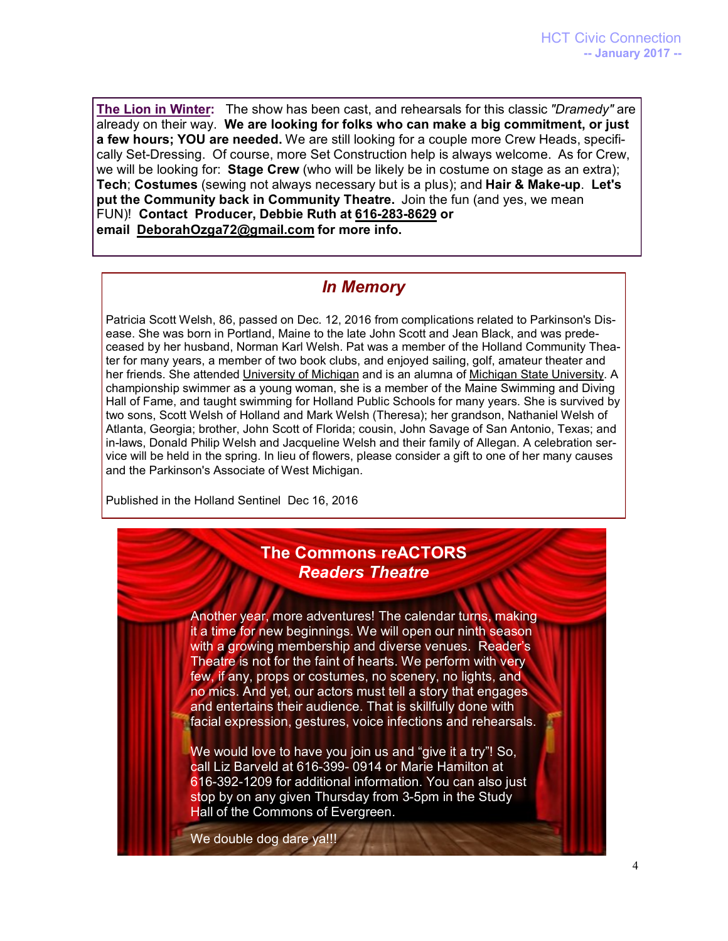**The Lion in Winter:** The show has been cast, and rehearsals for this classic *"Dramedy"* are already on their way. **We are looking for folks who can make a big commitment, or just a few hours; YOU are needed.** We are still looking for a couple more Crew Heads, specifically Set-Dressing. Of course, more Set Construction help is always welcome. As for Crew, we will be looking for: **Stage Crew** (who will be likely be in costume on stage as an extra); **Tech**; **Costumes** (sewing not always necessary but is a plus); and **Hair & Make-up**. **Let's put the Community back in Community Theatre.** Join the fun (and yes, we mean FUN)! **Contact Producer, Debbie Ruth at [616-283-8629](tel:(616)%20283-8629) or email [DeborahOzga72@gmail.com](mailto:DeborahOzga72@gmail.com) for more info.**

## *In Memory*

Patricia Scott Welsh, 86, passed on Dec. 12, 2016 from complications related to Parkinson's Disease. She was born in Portland, Maine to the late John Scott and Jean Black, and was predeceased by her husband, Norman Karl Welsh. Pat was a member of the Holland Community Theater for many years, a member of two book clubs, and enjoyed sailing, golf, amateur theater and her friends. She attended [University of Michigan](http://www.legacy.com/memorial-sites/university-of-michigan/?personid=183096720&affiliateID=3459) and is an alumna of [Michigan State University.](http://www.legacy.com/memorial-sites/michigan-state-university/?personid=183096720&affiliateID=3459) A championship swimmer as a young woman, she is a member of the Maine Swimming and Diving Hall of Fame, and taught swimming for Holland Public Schools for many years. She is survived by two sons, Scott Welsh of Holland and Mark Welsh (Theresa); her grandson, Nathaniel Welsh of Atlanta, Georgia; brother, John Scott of Florida; cousin, John Savage of San Antonio, Texas; and in-laws, Donald Philip Welsh and Jacqueline Welsh and their family of Allegan. A celebration service will be held in the spring. In lieu of flowers, please consider a gift to one of her many causes and the Parkinson's Associate of West Michigan.

Published in the Holland Sentinel Dec 16, 2016

### **The Commons reACTORS** *Readers Theatre*

Another year, more adventures! The calendar turns, making it a time for new beginnings. We will open our ninth season with a growing membership and diverse venues. Reader's Theatre is not for the faint of hearts. We perform with very few, if any, props or costumes, no scenery, no lights, and no mics. And yet, our actors must tell a story that engages and entertains their audience. That is skillfully done with facial expression, gestures, voice infections and rehearsals.

We would love to have you join us and "give it a try"! So, call Liz Barveld at 616-399- 0914 or Marie Hamilton at 616-392-1209 for additional information. You can also just stop by on any given Thursday from 3-5pm in the Study Hall of the Commons of Evergreen.

We double dog dare ya!!!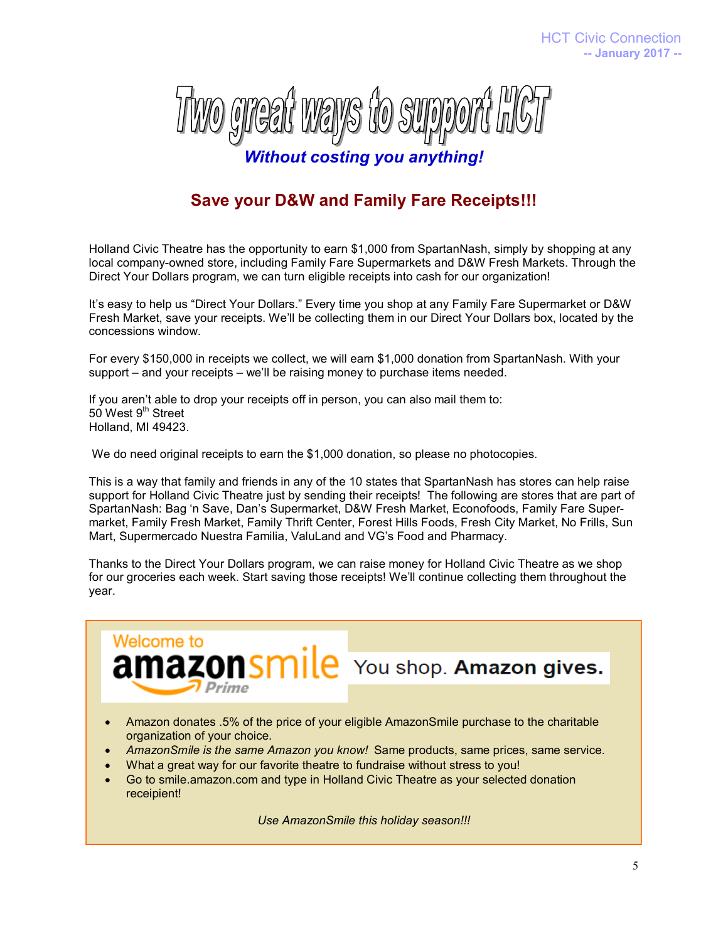

## **Save your D&W and Family Fare Receipts!!!**

Holland Civic Theatre has the opportunity to earn \$1,000 from SpartanNash, simply by shopping at any local company-owned store, including Family Fare Supermarkets and D&W Fresh Markets. Through the Direct Your Dollars program, we can turn eligible receipts into cash for our organization!

It's easy to help us "Direct Your Dollars." Every time you shop at any Family Fare Supermarket or D&W Fresh Market, save your receipts. We'll be collecting them in our Direct Your Dollars box, located by the concessions window.

For every \$150,000 in receipts we collect, we will earn \$1,000 donation from SpartanNash. With your support – and your receipts – we'll be raising money to purchase items needed.

If you aren't able to drop your receipts off in person, you can also mail them to: 50 West 9<sup>th</sup> Street Holland, MI 49423.

**Welcome to** 

We do need original receipts to earn the \$1,000 donation, so please no photocopies.

This is a way that family and friends in any of the 10 states that SpartanNash has stores can help raise support for Holland Civic Theatre just by sending their receipts! The following are stores that are part of SpartanNash: Bag 'n Save, Dan's Supermarket, D&W Fresh Market, Econofoods, Family Fare Supermarket, Family Fresh Market, Family Thrift Center, Forest Hills Foods, Fresh City Market, No Frills, Sun Mart, Supermercado Nuestra Familia, ValuLand and VG's Food and Pharmacy.

Thanks to the Direct Your Dollars program, we can raise money for Holland Civic Theatre as we shop for our groceries each week. Start saving those receipts! We'll continue collecting them throughout the year.

**amazonsmile** You shop. Amazon gives.

 Amazon donates .5% of the price of your eligible AmazonSmile purchase to the charitable organization of your choice.

- *AmazonSmile is the same Amazon you know!* Same products, same prices, same service.
- What a great way for our favorite theatre to fundraise without stress to you!
- Go to smile.amazon.com and type in Holland Civic Theatre as your selected donation receipient!

*Use AmazonSmile this holiday season!!!*